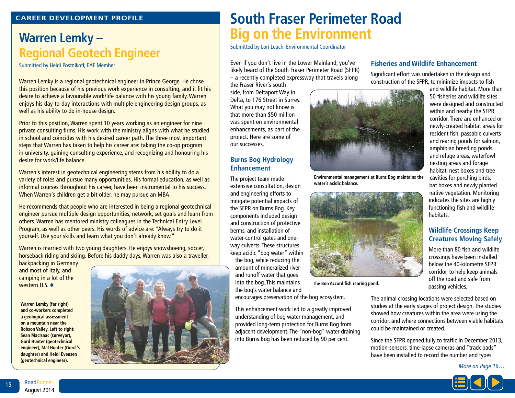#### **Career Development Profile**

### **Warren Lemky – Regional Geotech Engineer**

Submitted by Heidi Postnikoff, EAF Member

Warren Lemky is a regional geotechnical engineer in Prince George. He chose this position because of his previous work experience in consulting, and it fit his desire to achieve a favourable work/life balance with his young family. Warren enjoys his day-to-day interactions with multiple engineering design groups, as well as his ability to do in-house design.

Prior to this position, Warren spent 10 years working as an engineer for nine private consulting firms. His work with the ministry aligns with what he studied in school and coincides with his desired career path. The three most important steps that Warren has taken to help his career are: taking the co-op program in university, gaining consulting experience, and recognizing and honouring his desire for work/life balance.

Warren's interest in geotechnical engineering stems from his ability to do a variety of roles and pursue many opportunities. His formal education, as well as informal courses throughout his career, have been instrumental to his success. When Warren's children get a bit older, he may pursue an MBA.

He recommends that people who are interested in being a regional geotechnical engineer pursue multiple design opportunities, network, set goals and learn from others. Warren has mentored ministry colleagues in the Technical Entry Level Program, as well as other peers. His words of advice are: "Always try to do it yourself. Use your skills and learn what you don't already know."

Warren is married with two young daughters. He enjoys snowshoeing, soccer, horseback riding and skiing. Before his daddy days, Warren was also a traveller, backpacking in Germany

and most of Italy, and camping in a lot of the western  $U.S.$   $\blacklozenge$ 

**Warren Lemky (far right) and co-workers completed a geological assessment on a mountain near the Robson Valley. Left to right: Sean MacIsaac (surveyor), Gord Hunter (geotechnical engineer), Mel Hunter (Gord 's daughter) and Heidi Evensen (geotechnical engineer).** 



# **South Fraser Perimeter Road Big on the Environment**

Submitted by Lori Leach, Environmental Coordinator

Even if you don't live in the Lower Mainland, you've likely heard of the South Fraser Perimeter Road (SFPR) – a recently completed expressway that travels along

the Fraser River's south side, from Deltaport Way in Delta, to 176 Street in Surrey. What you may not know is that more than \$50 million was spent on environmental enhancements, as part of the project. Here are some of our successes.

#### **Burns Bog Hydrology Enhancement**

The project team made extensive consultation, design and engineering efforts to mitigate potential impacts of the SFPR on Burns Bog. Key components included design and construction of protective berms, and installation of water-control gates and oneway culverts. These structures keep acidic "bog water" within the bog, while reducing the amount of mineralized river and runoff water that goes into the bog. This maintains the bog's water balance and

encourages preservation of the bog ecosystem.

This enhancement work led to a greatly improved understanding of bog water management, and provided long-term protection for Burns Bog from adjacent development. The "non-bog" water draining into Burns Bog has been reduced by 90 per cent.

#### **Fisheries and Wildlife Enhancement**

Significant effort was undertaken in the design and construction of the SFPR, to minimize impacts to fish



**Environmental management at Burns Bog maintains the water's acidic balance.**



**The Bon Accord fish rearing pond.**

nesting areas and forage habitat, nest boxes and tree cavities for perching birds, bat boxes and newly planted native vegetation. Monitoring indicates the sites are highly functioning fish and wildlife habitats. **Wildlife Crossings Keep Creatures Moving Safely** More than 80 fish and wildlife

and wildlife habitat. More than 50 fisheries and wildlife sites were designed and constructed within and nearby the SFPR corridor. There are enhanced or newly-created habitat areas for resident fish, passable culverts and rearing ponds for salmon, amphibian breeding ponds and refuge areas, waterfowl

crossings have been installed below the 40-kilometre SFPR corridor, to help keep animals off the road and safe from passing vehicles.

The animal crossing locations were selected based on studies at the early stages of project design. The studies showed how creatures within the area were using the corridor, and where connections between viable habitats could be maintained or created.

Since the SFPR opened fully to traffic in December 2013, motion-sensors, time-lapse cameras and "track pads" have been installed to record the number and types